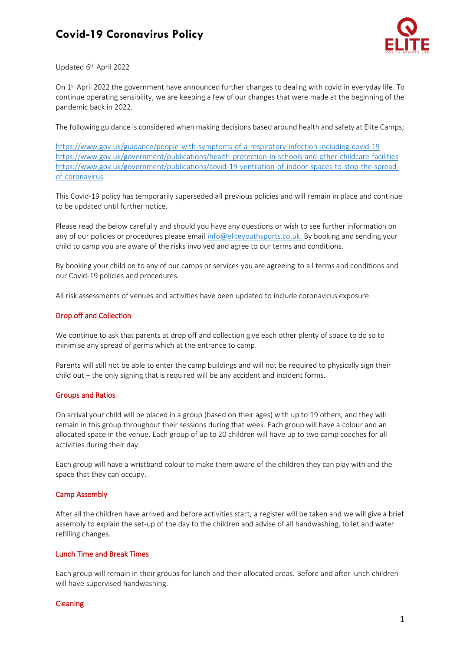# **Covid-19 Coronavirus Policy**



Updated 6<sup>th</sup> April 2022

On 1<sup>st</sup> April 2022 the government have announced further changes to dealing with covid in everyday life. To continue operating sensibility, we are keeping a few of our changes that were made at the beginning of the pandemic back in 2022.

The following guidance is considered when making decisions based around health and safety at Elite Camps;

<https://www.gov.uk/guidance/people-with-symptoms-of-a-respiratory-infection-including-covid-19> <https://www.gov.uk/government/publications/health-protection-in-schools-and-other-childcare-facilities> [https://www.gov.uk/government/publications/covid-19-ventilation-of-indoor-spaces-to-stop-the-spread](https://www.gov.uk/government/publications/covid-19-ventilation-of-indoor-spaces-to-stop-the-spread-of-coronavirus)[of-coronavirus](https://www.gov.uk/government/publications/covid-19-ventilation-of-indoor-spaces-to-stop-the-spread-of-coronavirus)

This Covid-19 policy has temporarily superseded all previous policies and will remain in place and continue to be updated until further notice.

Please read the below carefully and should you have any questions or wish to see further information on any of our policies or procedures please email [info@eliteyouthsports.co.uk.](mailto:info@eliteyouthsports.co.uk) By booking and sending your child to camp you are aware of the risks involved and agree to our terms and conditions.

By booking your child on to any of our camps or services you are agreeing to all terms and conditions and our Covid-19 policies and procedures.

All risk assessments of venues and activities have been updated to include coronavirus exposure.

## Drop off and Collection

We continue to ask that parents at drop off and collection give each other plenty of space to do so to minimise any spread of germs which at the entrance to camp.

Parents will still not be able to enter the camp buildings and will not be required to physically sign their child out – the only signing that is required will be any accident and incident forms.

#### Groups and Ratios

On arrival your child will be placed in a group (based on their ages) with up to 19 others, and they will remain in this group throughout their sessions during that week. Each group will have a colour and an allocated space in the venue. Each group of up to 20 children will have up to two camp coaches for all activities during their day.

Each group will have a wristband colour to make them aware of the children they can play with and the space that they can occupy.

#### Camp Assembly

After all the children have arrived and before activities start, a register will be taken and we will give a brief assembly to explain the set-up of the day to the children and advise of all handwashing, toilet and water refilling changes.

## Lunch Time and Break Times

Each group will remain in their groups for lunch and their allocated areas. Before and after lunch children will have supervised handwashing.

#### Cleaning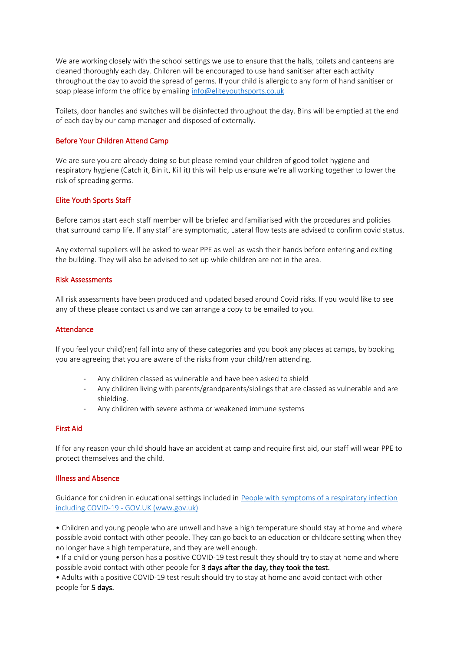We are working closely with the school settings we use to ensure that the halls, toilets and canteens are cleaned thoroughly each day. Children will be encouraged to use hand sanitiser after each activity throughout the day to avoid the spread of germs. If your child is allergic to any form of hand sanitiser or soap please inform the office by emailin[g info@eliteyouthsports.co.uk](mailto:info@eliteyouthsports.co.uk)

Toilets, door handles and switches will be disinfected throughout the day. Bins will be emptied at the end of each day by our camp manager and disposed of externally.

## Before Your Children Attend Camp

We are sure you are already doing so but please remind your children of good toilet hygiene and respiratory hygiene (Catch it, Bin it, Kill it) this will help us ensure we're all working together to lower the risk of spreading germs.

## Elite Youth Sports Staff

Before camps start each staff member will be briefed and familiarised with the procedures and policies that surround camp life. If any staff are symptomatic, Lateral flow tests are advised to confirm covid status.

Any external suppliers will be asked to wear PPE as well as wash their hands before entering and exiting the building. They will also be advised to set up while children are not in the area.

#### Risk Assessments

All risk assessments have been produced and updated based around Covid risks. If you would like to see any of these please contact us and we can arrange a copy to be emailed to you.

#### Attendance

If you feel your child(ren) fall into any of these categories and you book any places at camps, by booking you are agreeing that you are aware of the risks from your child/ren attending.

- Any children classed as vulnerable and have been asked to shield
- Any children living with parents/grandparents/siblings that are classed as vulnerable and are shielding.
- Any children with severe asthma or weakened immune systems

## First Aid

If for any reason your child should have an accident at camp and require first aid, our staff will wear PPE to protect themselves and the child.

## Illness and Absence

Guidance for children in educational settings included in [People with symptoms of a respiratory infection](https://www.gov.uk/guidance/people-with-symptoms-of-a-respiratory-infection-including-covid-19)  including COVID-19 - [GOV.UK \(www.gov.uk\)](https://www.gov.uk/guidance/people-with-symptoms-of-a-respiratory-infection-including-covid-19)

• Children and young people who are unwell and have a high temperature should stay at home and where possible avoid contact with other people. They can go back to an education or childcare setting when they no longer have a high temperature, and they are well enough.

• If a child or young person has a positive COVID-19 test result they should try to stay at home and where possible avoid contact with other people for 3 days after the day, they took the test.

• Adults with a positive COVID-19 test result should try to stay at home and avoid contact with other people for 5 days.